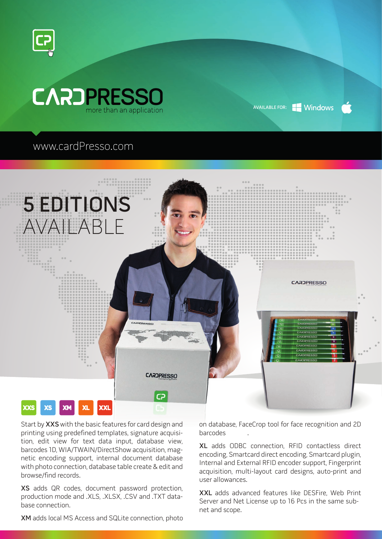



## AVAILABLE FOR: Windows

## www.cardPresso.com



Start by XXS with the basic features for card design and printing using predefined templates, signature acquisition, edit view for text data input, database view, barcodes 1D, WIA/TWAIN/DirectShow acquisition, magnetic encoding support, internal document database with photo connection, database table create & edit and browse/find records.

XS adds QR codes, document password protection, production mode and .XLS, .XLSX, .CSV and .TXT database connection.

on database, FaceCrop tool for face recognition and 2D barcodes .

XL adds ODBC connection, RFID contactless direct encoding, Smartcard direct encoding, Smartcard plugin, Internal and External RFID encoder support, Fingerprint acquisition, multi-layout card designs, auto-print and user allowances.

XXL adds advanced features like DESFire, Web Print Server and Net License up to 16 Pcs in the same subnet and scope.

XM adds local MS Access and SQLite connection, photo